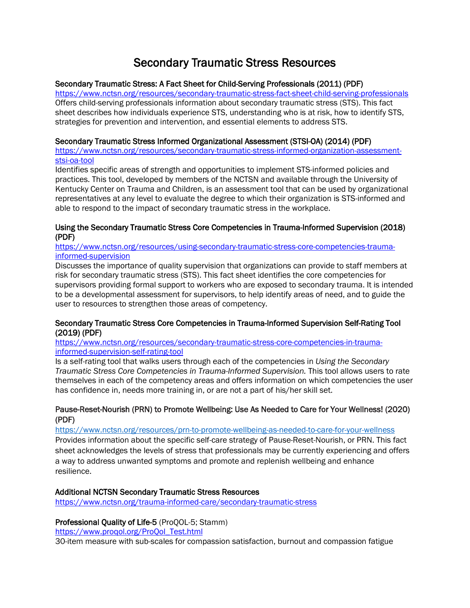# Secondary Traumatic Stress Resources

# Secondary Traumatic Stress: A Fact Sheet for Child-Serving Professionals (2011) (PDF)

<https://www.nctsn.org/resources/secondary-traumatic-stress-fact-sheet-child-serving-professionals> Offers child-serving professionals information about secondary traumatic stress (STS). This fact sheet describes how individuals experience STS, understanding who is at risk, how to identify STS, strategies for prevention and intervention, and essential elements to address STS.

## Secondary Traumatic Stress Informed Organizational Assessment (STSI-OA) (2014) (PDF)

[https://www.nctsn.org/resources/secondary-traumatic-stress-informed-organization-assessment](https://www.nctsn.org/resources/secondary-traumatic-stress-informed-organization-assessment-stsi-oa-tool)[stsi-oa-tool](https://www.nctsn.org/resources/secondary-traumatic-stress-informed-organization-assessment-stsi-oa-tool)

Identifies specific areas of strength and opportunities to implement STS-informed policies and practices. This tool, developed by members of the NCTSN and available through the University of Kentucky Center on Trauma and Children, is an assessment tool that can be used by organizational representatives at any level to evaluate the degree to which their organization is STS-informed and able to respond to the impact of secondary traumatic stress in the workplace.

## Using the Secondary Traumatic Stress Core Competencies in Trauma-Informed Supervision (2018) (PDF)

## [https://www.nctsn.org/resources/using-secondary-traumatic-stress-core-competencies-trauma](https://www.nctsn.org/resources/using-secondary-traumatic-stress-core-competencies-trauma-informed-supervision)[informed-supervision](https://www.nctsn.org/resources/using-secondary-traumatic-stress-core-competencies-trauma-informed-supervision)

Discusses the importance of quality supervision that organizations can provide to staff members at risk for secondary traumatic stress (STS). This fact sheet identifies the core competencies for supervisors providing formal support to workers who are exposed to secondary trauma. It is intended to be a developmental assessment for supervisors, to help identify areas of need, and to guide the user to resources to strengthen those areas of competency.

## Secondary Traumatic Stress Core Competencies in Trauma-Informed Supervision Self-Rating Tool (2019) (PDF)

[https://www.nctsn.org/resources/secondary-traumatic-stress-core-competencies-in-trauma](https://www.nctsn.org/resources/secondary-traumatic-stress-core-competencies-in-trauma-informed-supervision-self-rating-tool)[informed-supervision-self-rating-tool](https://www.nctsn.org/resources/secondary-traumatic-stress-core-competencies-in-trauma-informed-supervision-self-rating-tool)

Is a self-rating tool that walks users through each of the competencies in *Using the Secondary Traumatic Stress Core Competencies in Trauma-Informed Supervision.* This tool allows users to rate themselves in each of the competency areas and offers information on which competencies the user has confidence in, needs more training in, or are not a part of his/her skill set.

# Pause-Reset-Nourish (PRN) to Promote Wellbeing: Use As Needed to Care for Your Wellness! (2020) (PDF)

<https://www.nctsn.org/resources/prn-to-promote-wellbeing-as-needed-to-care-for-your-wellness> Provides information about the specific self-care strategy of Pause-Reset-Nourish, or PRN. This fact sheet acknowledges the levels of stress that professionals may be currently experiencing and offers a way to address unwanted symptoms and promote and replenish wellbeing and enhance resilience.

# Additional NCTSN Secondary Traumatic Stress Resources

<https://www.nctsn.org/trauma-informed-care/secondary-traumatic-stress>

# Professional Quality of Life-5 (ProQOL-5; Stamm)

[https://www.proqol.org/ProQol\\_Test.html](https://www.proqol.org/ProQol_Test.html)

30-item measure with sub-scales for compassion satisfaction, burnout and compassion fatigue